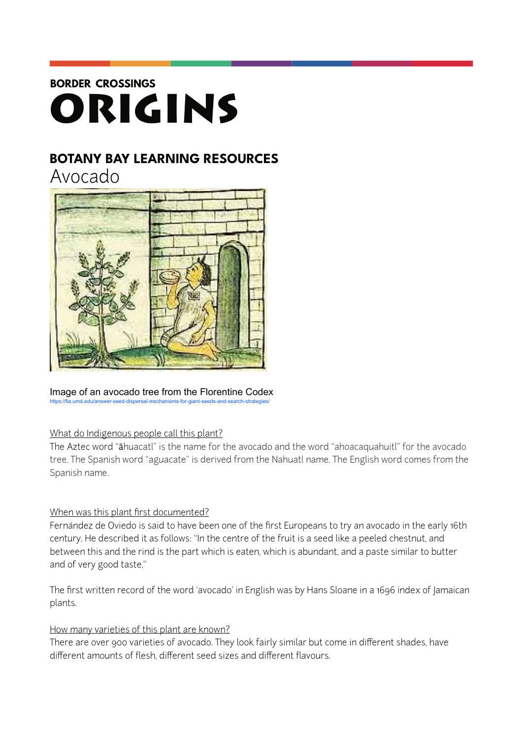# **BORDER CROSSINGS** ORIGINS

## **BOTANY BAY LEARNING RESOURCES**

Avocado



#### Image of an avocado tree from the Florentine Codex <https://fia.umd.edu/answer-seed-dispersal-mechanisms-for-giant-seeds-and-search-strategies/>

### What do Indigenous people call this plant?

The Aztec word "āhuacatl" is the name for the avocado and the word "ahoacaquahuitl" for the avocado tree. The Spanish word "aguacate" is derived from the Nahuatl name. The English word comes from the Spanish name.

#### When was this plant first documented?

Fernández de Oviedo is said to have been one of the first Europeans to try an avocado in the early 16th century. He described it as follows: "In the centre of the fruit is a seed like a peeled chestnut, and between this and the rind is the part which is eaten, which is abundant, and a paste similar to butter and of very good taste,"

The [first written record](http://www.avocadosource.com/WAC1/WAC1_p011.pdf) of the word 'avocado' in English was by Hans Sloane in a 1696 index of Jamaican plants.

#### How many varieties of this plant are known?

There are over 900 varieties of avocado. They look fairly similar but come in different shades, have different amounts of flesh, different seed sizes and different flavours.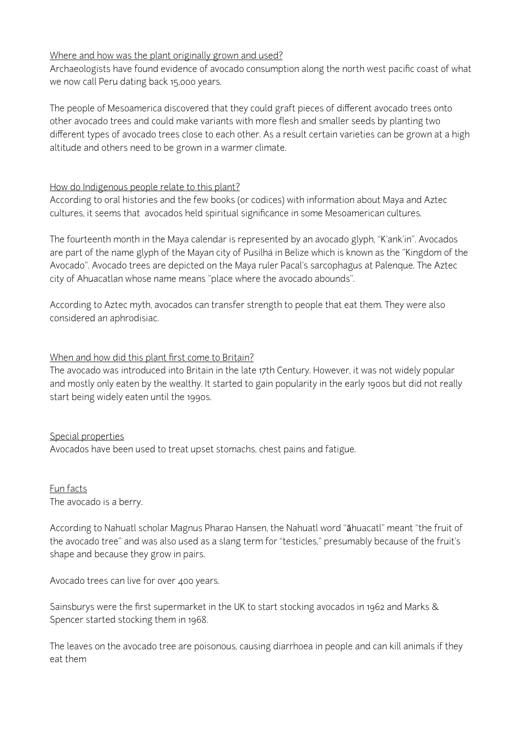#### Where and how was the plant originally grown and used?

Archaeologists have found evidence of avocado consumption along the north west pacific coast of what we now call Peru dating back 15,000 years.

The people of Mesoamerica discovered that they could graft pieces of different avocado trees onto other avocado trees and could make variants with more flesh and smaller seeds by planting two different types of avocado trees close to each other. As a result certain varieties can be grown at a high altitude and others need to be grown in a warmer climate.

#### How do Indigenous people relate to this plant?

According to oral histories and the few books (or codices) with information about Maya and Aztec cultures, it seems that avocados held spiritual significance in some Mesoamerican cultures.

The fourteenth month in the Maya calendar is represented by an avocado glyph, "K'ank'in". Avocados are part of the name glyph of the Mayan city of Pusilhá in Belize which is known as the "Kingdom of the Avocado". Avocado trees are depicted on the Maya ruler Pacal's sarcophagus at Palenque. The Aztec city of Ahuacatlan whose name means "place where the avocado abounds".

According to Aztec myth, avocados can transfer strength to people that eat them. They were also considered an aphrodisiac.

#### When and how did this plant first come to Britain?

The avocado was introduced into Britain in the late 17th Century. However, it was not widely popular and mostly only eaten by the wealthy. It started to gain popularity in the early 1900s but did not really start being widely eaten until the 1990s.

#### Special properties

Avocados have been used to treat upset stomachs, chest pains and fatigue.

#### Fun facts The avocado is a berry.

According to Nahuatl scholar Magnus Pharao Hansen, the Nahuatl word "āhuacatl" meant "the fruit of the avocado tree" and was also used as a slang term for "testicles," presumably because of the fruit's shape and because they grow in pairs.

Avocado trees can live for over 400 years.

Sainsburys were the first supermarket in the UK to start stocking avocados in 1962 and Marks & Spencer started stocking them in 1968.

The leaves on the avocado tree are poisonous, causing diarrhoea in people and can kill animals if they eat them